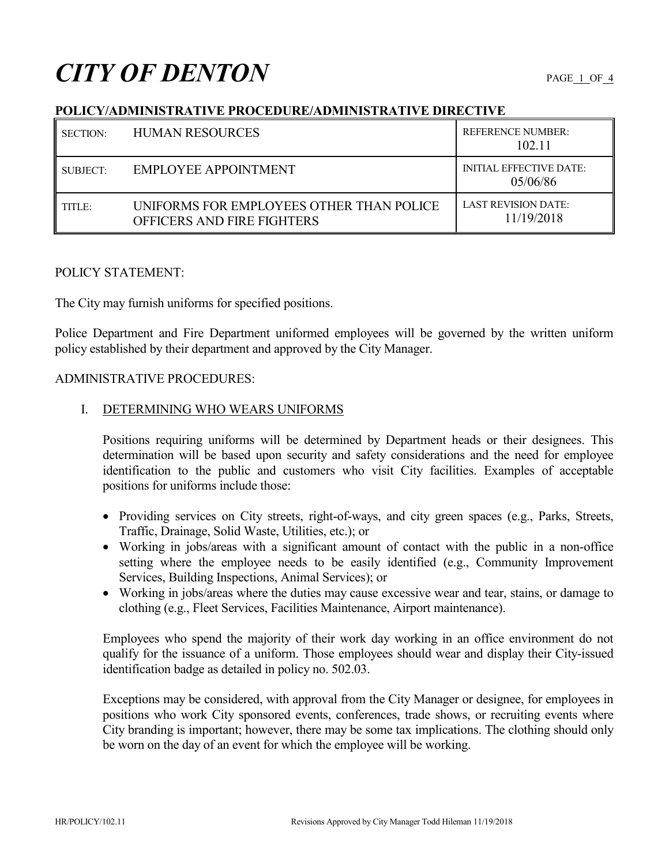# **CITY OF DENTON**

# **POLICY/ADMINISTRATIVE PROCEDURE/ADMINISTRATIVE DIRECTIVE**

| SECTION: | <b>HUMAN RESOURCES</b>                                                 | <b>REFERENCE NUMBER:</b><br>102.11         |
|----------|------------------------------------------------------------------------|--------------------------------------------|
| SUBJECT: | EMPLOYEE APPOINTMENT                                                   | <b>INITIAL EFFECTIVE DATE:</b><br>05/06/86 |
| TITLE:   | UNIFORMS FOR EMPLOYEES OTHER THAN POLICE<br>OFFICERS AND FIRE FIGHTERS | LAST REVISION DATE:<br>11/19/2018          |

## POLICY STATEMENT:

The City may furnish uniforms for specified positions.

Police Department and Fire Department uniformed employees will be governed by the written uniform policy established by their department and approved by the City Manager.

#### ADMINISTRATIVE PROCEDURES:

## I. DETERMINING WHO WEARS UNIFORMS

Positions requiring uniforms will be determined by Department heads or their designees. This determination will be based upon security and safety considerations and the need for employee identification to the public and customers who visit City facilities. Examples of acceptable positions for uniforms include those:

- Providing services on City streets, right-of-ways, and city green spaces (e.g., Parks, Streets, Traffic, Drainage, Solid Waste, Utilities, etc.); or
- Working in jobs/areas with a significant amount of contact with the public in a non-office setting where the employee needs to be easily identified (e.g., Community Improvement Services, Building Inspections, Animal Services); or
- Working in jobs/areas where the duties may cause excessive wear and tear, stains, or damage to clothing (e.g., Fleet Services, Facilities Maintenance, Airport maintenance).

Employees who spend the majority of their work day working in an office environment do not qualify for the issuance of a uniform. Those employees should wear and display their City-issued identification badge as detailed in policy no. 502.03.

Exceptions may be considered, with approval from the City Manager or designee, for employees in positions who work City sponsored events, conferences, trade shows, or recruiting events where City branding is important; however, there may be some tax implications. The clothing should only be worn on the day of an event for which the employee will be working.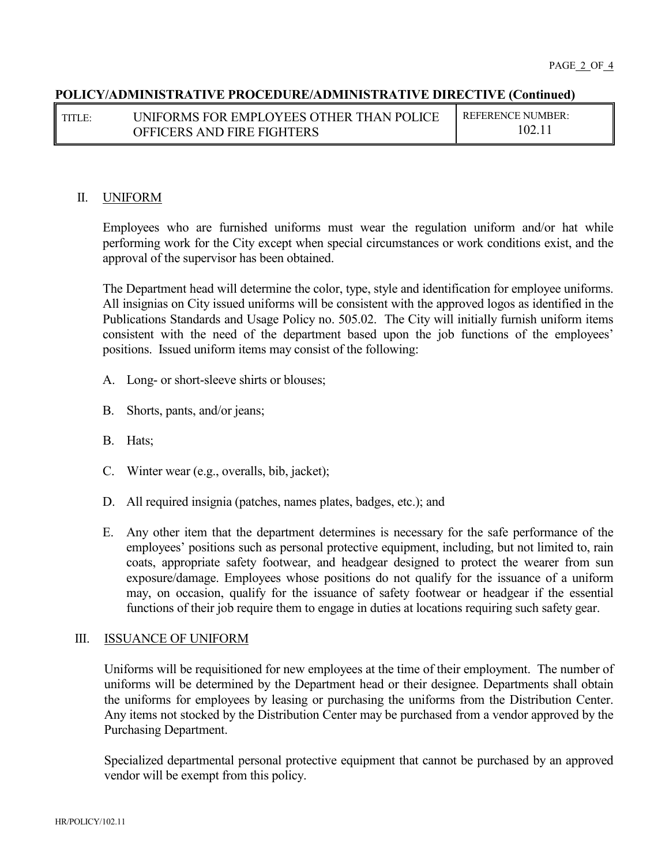# **POLICY/ADMINISTRATIVE PROCEDURE/ADMINISTRATIVE DIRECTIVE (Continued)**

| TITLE: | <b>UNIFORMS FOR EMPLOYEES OTHER THAN POLICE</b> | REFERENCE NUMBER: |
|--------|-------------------------------------------------|-------------------|
|        | OFFICERS AND FIRE FIGHTERS                      |                   |

#### II. UNIFORM

Employees who are furnished uniforms must wear the regulation uniform and/or hat while performing work for the City except when special circumstances or work conditions exist, and the approval of the supervisor has been obtained.

The Department head will determine the color, type, style and identification for employee uniforms. All insignias on City issued uniforms will be consistent with the approved logos as identified in the Publications Standards and Usage Policy no. 505.02. The City will initially furnish uniform items consistent with the need of the department based upon the job functions of the employees' positions. Issued uniform items may consist of the following:

- A. Long- or short-sleeve shirts or blouses;
- B. Shorts, pants, and/or jeans;
- B. Hats;
- C. Winter wear (e.g., overalls, bib, jacket);
- D. All required insignia (patches, names plates, badges, etc.); and
- E. Any other item that the department determines is necessary for the safe performance of the employees' positions such as personal protective equipment, including, but not limited to, rain coats, appropriate safety footwear, and headgear designed to protect the wearer from sun exposure/damage. Employees whose positions do not qualify for the issuance of a uniform may, on occasion, qualify for the issuance of safety footwear or headgear if the essential functions of their job require them to engage in duties at locations requiring such safety gear.

#### III. ISSUANCE OF UNIFORM

Uniforms will be requisitioned for new employees at the time of their employment. The number of uniforms will be determined by the Department head or their designee. Departments shall obtain the uniforms for employees by leasing or purchasing the uniforms from the Distribution Center. Any items not stocked by the Distribution Center may be purchased from a vendor approved by the Purchasing Department.

Specialized departmental personal protective equipment that cannot be purchased by an approved vendor will be exempt from this policy.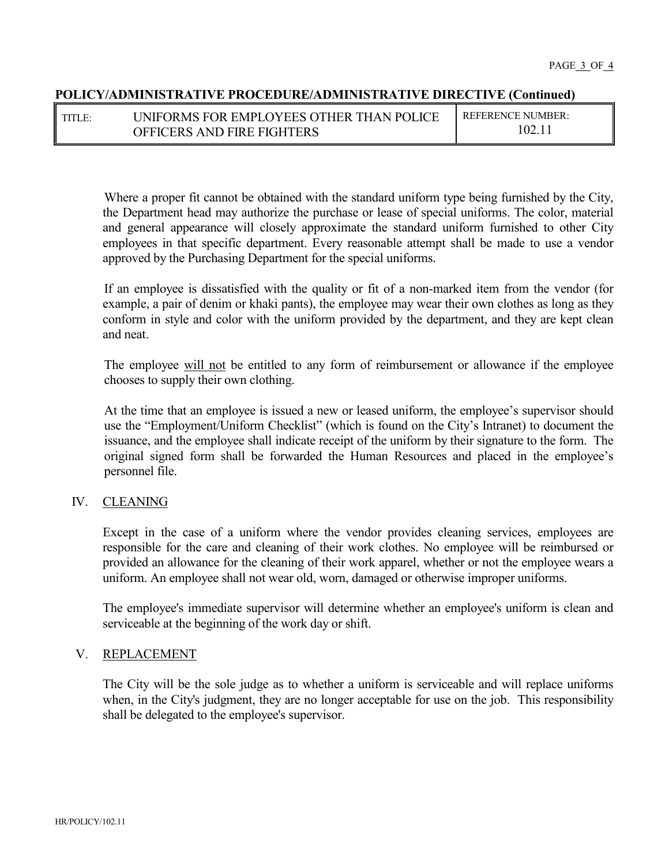## **POLICY/ADMINISTRATIVE PROCEDURE/ADMINISTRATIVE DIRECTIVE (Continued)**

| TITLE: | UNIFORMS FOR EMPLOYEES OTHER THAN POLICE | REFERENCE NUMBER: |
|--------|------------------------------------------|-------------------|
|        | OFFICERS AND FIRE FIGHTERS               | 102.              |

Where a proper fit cannot be obtained with the standard uniform type being furnished by the City, the Department head may authorize the purchase or lease of special uniforms. The color, material and general appearance will closely approximate the standard uniform furnished to other City employees in that specific department. Every reasonable attempt shall be made to use a vendor approved by the Purchasing Department for the special uniforms.

If an employee is dissatisfied with the quality or fit of a non-marked item from the vendor (for example, a pair of denim or khaki pants), the employee may wear their own clothes as long as they conform in style and color with the uniform provided by the department, and they are kept clean and neat.

The employee will not be entitled to any form of reimbursement or allowance if the employee chooses to supply their own clothing.

At the time that an employee is issued a new or leased uniform, the employee's supervisor should use the "Employment/Uniform Checklist" (which is found on the City's Intranet) to document the issuance, and the employee shall indicate receipt of the uniform by their signature to the form. The original signed form shall be forwarded the Human Resources and placed in the employee's personnel file.

# IV. CLEANING

Except in the case of a uniform where the vendor provides cleaning services, employees are responsible for the care and cleaning of their work clothes. No employee will be reimbursed or provided an allowance for the cleaning of their work apparel, whether or not the employee wears a uniform. An employee shall not wear old, worn, damaged or otherwise improper uniforms.

The employee's immediate supervisor will determine whether an employee's uniform is clean and serviceable at the beginning of the work day or shift.

#### V. REPLACEMENT

The City will be the sole judge as to whether a uniform is serviceable and will replace uniforms when, in the City's judgment, they are no longer acceptable for use on the job. This responsibility shall be delegated to the employee's supervisor.